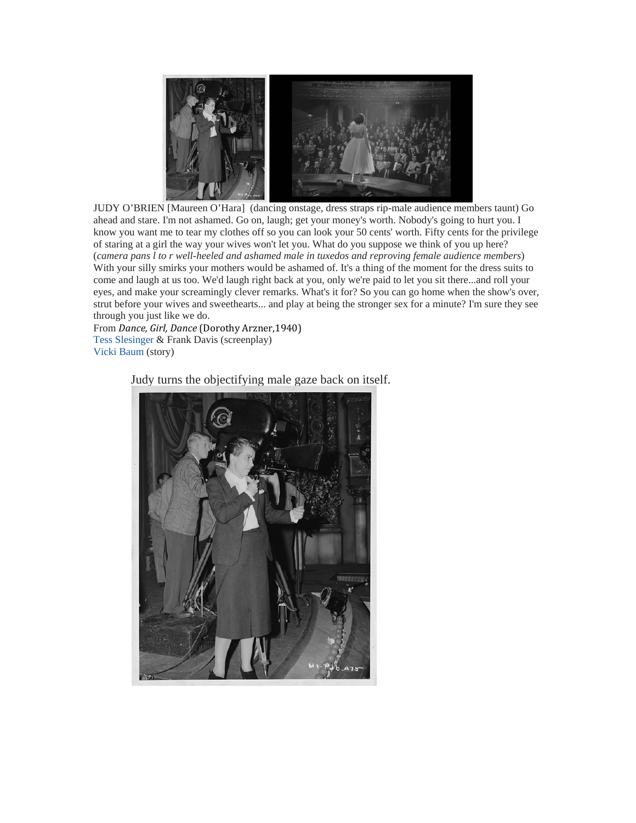

JUDY O'BRIEN [Maureen O'Hara] (dancing onstage, dress straps rip-male audience members taunt) Go ahead and stare. I'm not ashamed. Go on, laugh; get your money's worth. Nobody's going to hurt you. I know you want me to tear my clothes off so you can look your 50 cents' worth. Fifty cents for the privilege of staring at a girl the way your wives won't let you. What do you suppose we think of you up here? (*camera pans l to r well-heeled and ashamed male in tuxedos and reproving female audience members*) With your silly smirks your mothers would be ashamed of. It's a thing of the moment for the dress suits to come and laugh at us too. We'd laugh right back at you, only we're paid to let you sit there...and roll your eyes, and make your screamingly clever remarks. What's it for? So you can go home when the show's over, strut before your wives and sweethearts... and play at being the stronger sex for a minute? I'm sure they see through you just like we do.

From *Dance, Girl, Dance* (Dorothy Arzner,1940) [Tess Slesinger](http://www.imdb.com/name/nm0805756/?ref_=ttfc_fc_wr1) & Frank Davis (screenplay) [Vicki Baum](http://www.imdb.com/name/nm0062139/?ref_=ttfc_fc_wr3) (story)

Judy turns the objectifying male gaze back on itself.

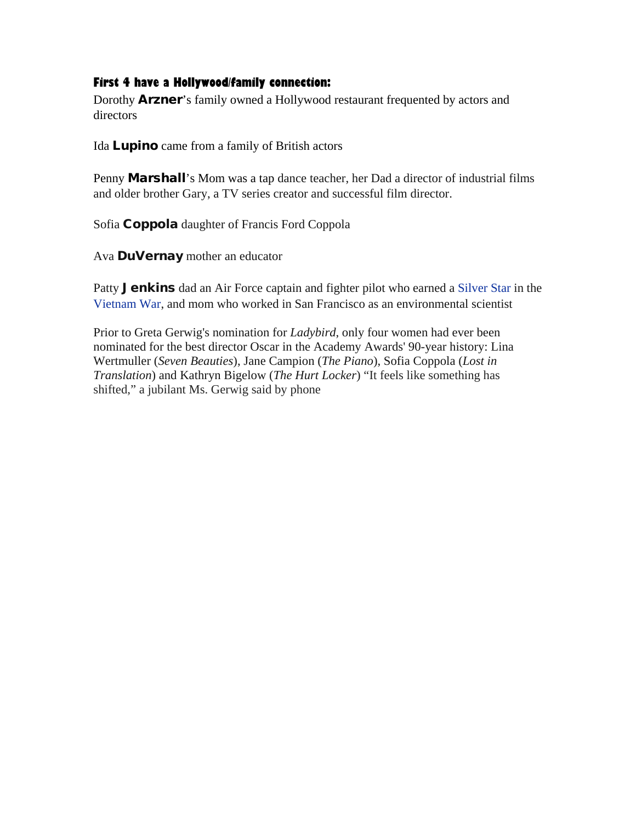## **First 4 have a Hollywood/family connection:**

Dorothy **Arzner**'s family owned a Hollywood restaurant frequented by actors and directors

Ida Lupino came from a family of British actors

Penny **Marshall**'s Mom was a tap dance teacher, her Dad a director of industrial films and older brother Gary, a TV series creator and successful film director.

Sofia Coppola daughter of Francis Ford Coppola

Ava DuVernay mother an educator

Patty **Jenkins** dad an Air Force captain and fighter pilot who earned a [Silver Star](https://en.wikipedia.org/wiki/Silver_Star) in the [Vietnam War,](https://en.wikipedia.org/wiki/Vietnam_War) and mom who worked in San Francisco as an environmental scientist

Prior to Greta Gerwig's nomination for *Ladybird*, only four women had ever been nominated for the best director Oscar in the Academy Awards' 90-year history: Lina Wertmuller (*Seven Beauties*), Jane Campion (*The Piano*), Sofia Coppola (*Lost in Translation*) and Kathryn Bigelow (*The Hurt Locker*) "It feels like something has shifted," a jubilant Ms. Gerwig said by phone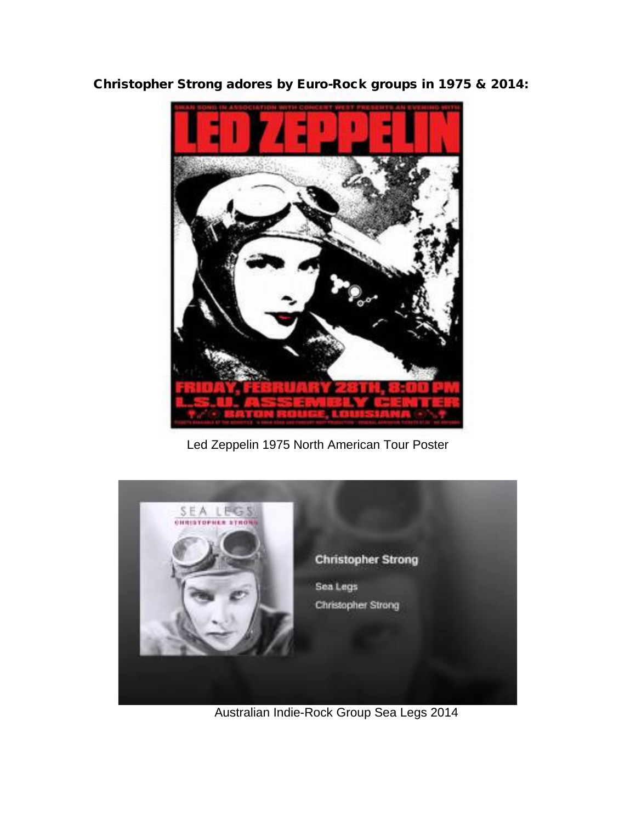Christopher Strong adores by Euro-Rock groups in 1975 & 2014:



Led Zeppelin 1975 North American Tour Poster



Australian Indie-Rock Group Sea Legs 2014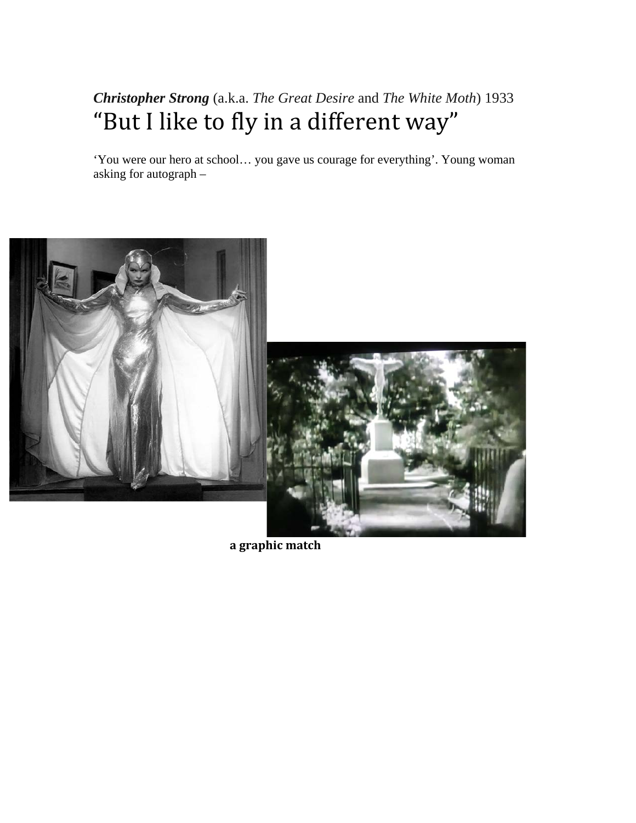## *Christopher Strong* (a.k.a. *The Great Desire* and *The White Moth*) 1933 "But I like to fly in a different way"

'You were our hero at school… you gave us courage for everything'. Young woman asking for autograph –



**a graphic match**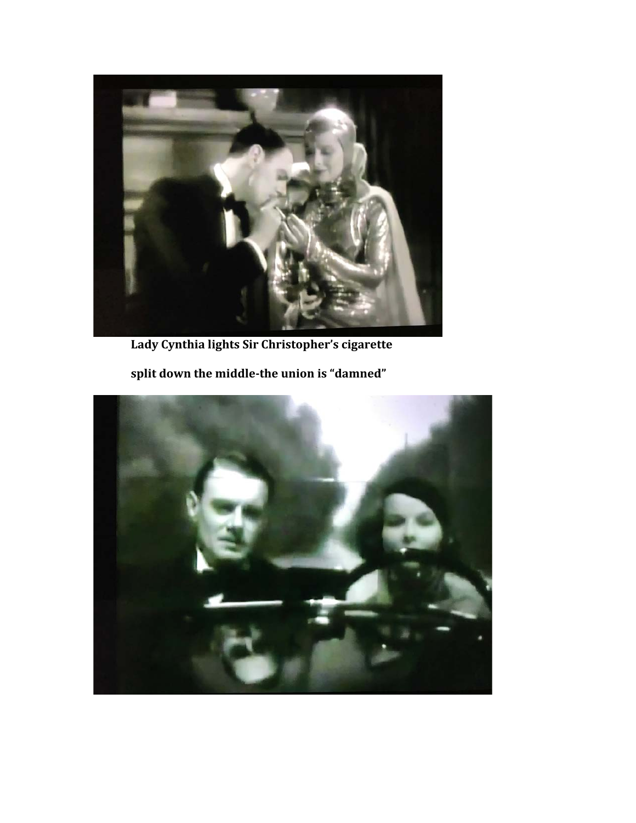

**Lady Cynthia lights Sir Christopher's cigarette**

**split down the middle-the union is "damned"**

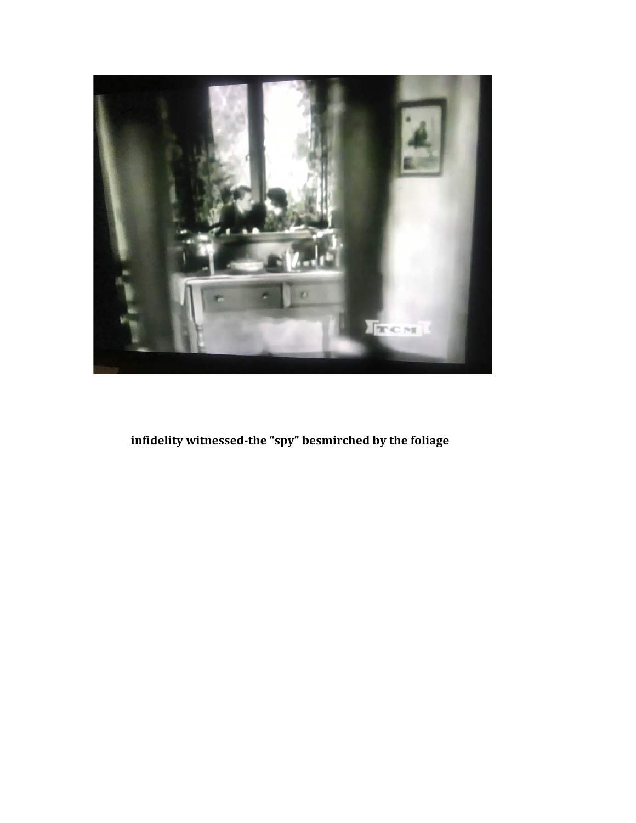

**infidelity witnessed-the "spy" besmirched by the foliage**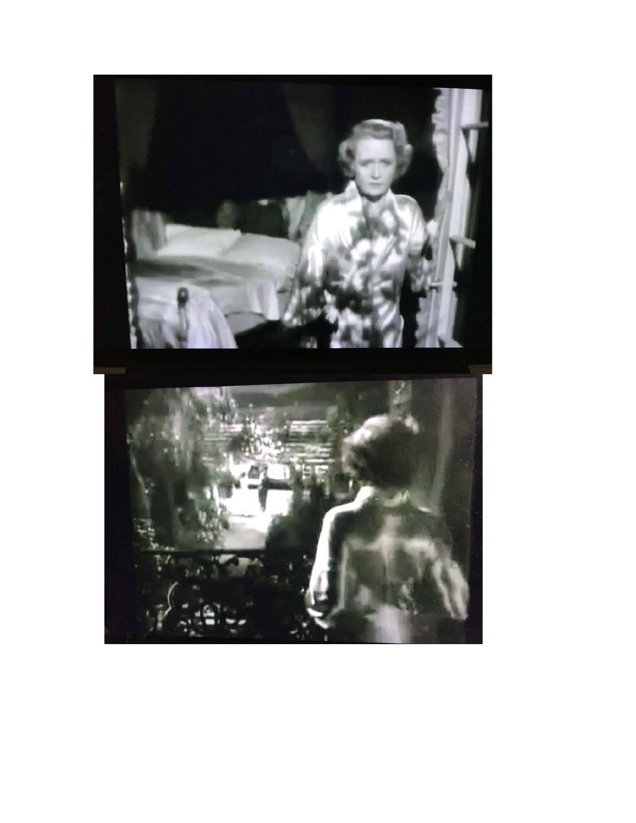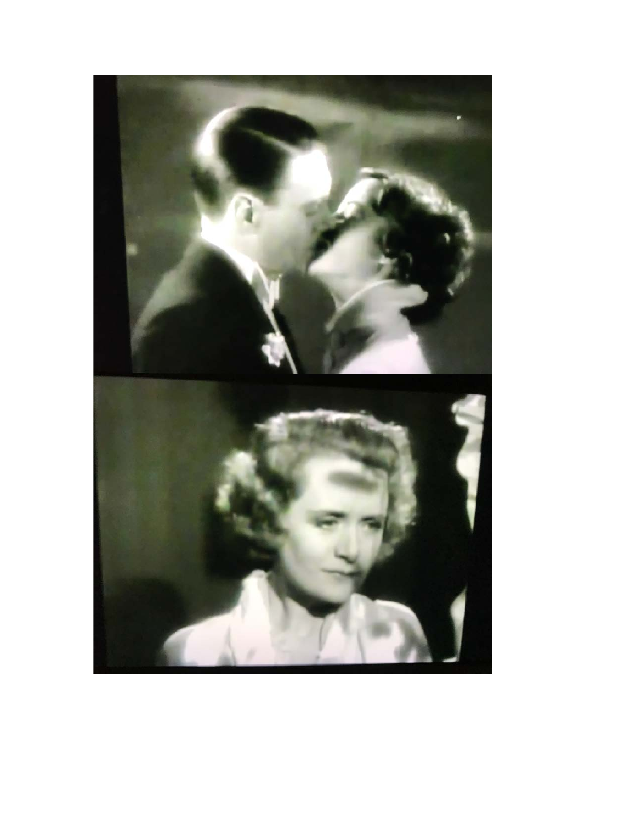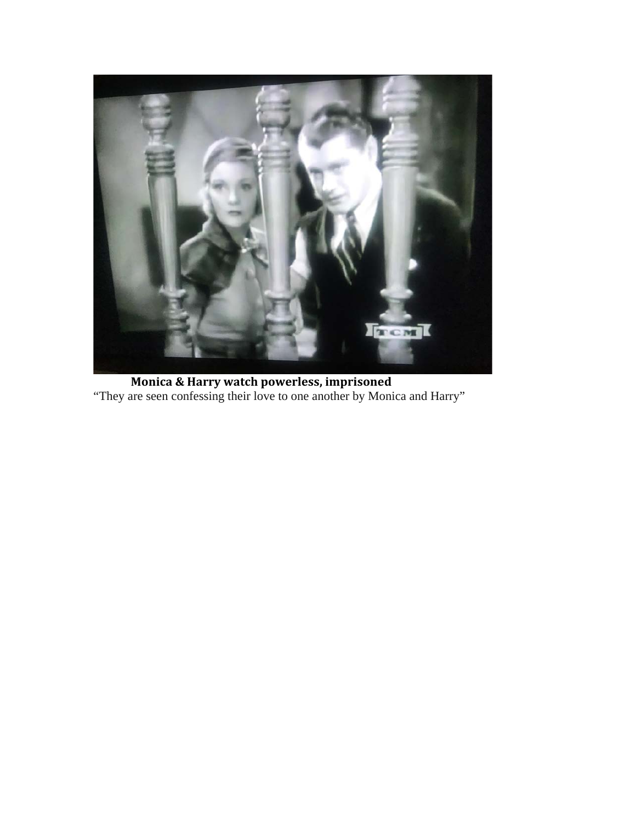

**Monica & Harry watch powerless, imprisoned** "They are seen confessing their love to one another by Monica and Harry"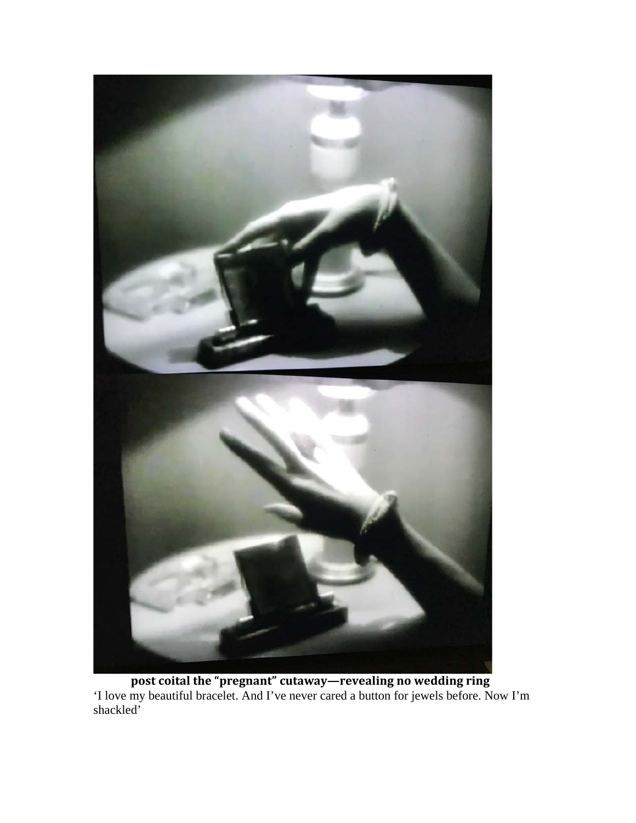

**post coital the "pregnant" cutaway—revealing no wedding ring** 'I love my beautiful bracelet. And I've never cared a button for jewels before. Now I'm shackled'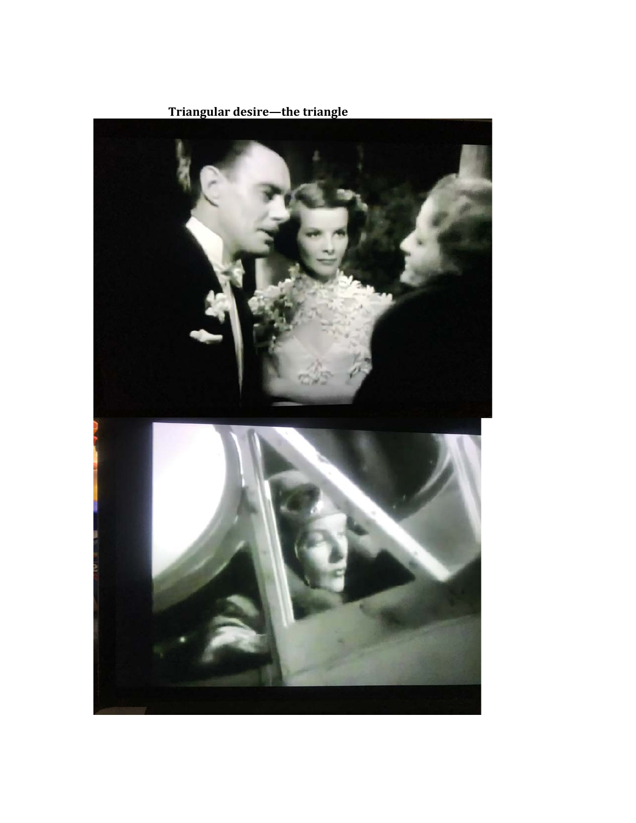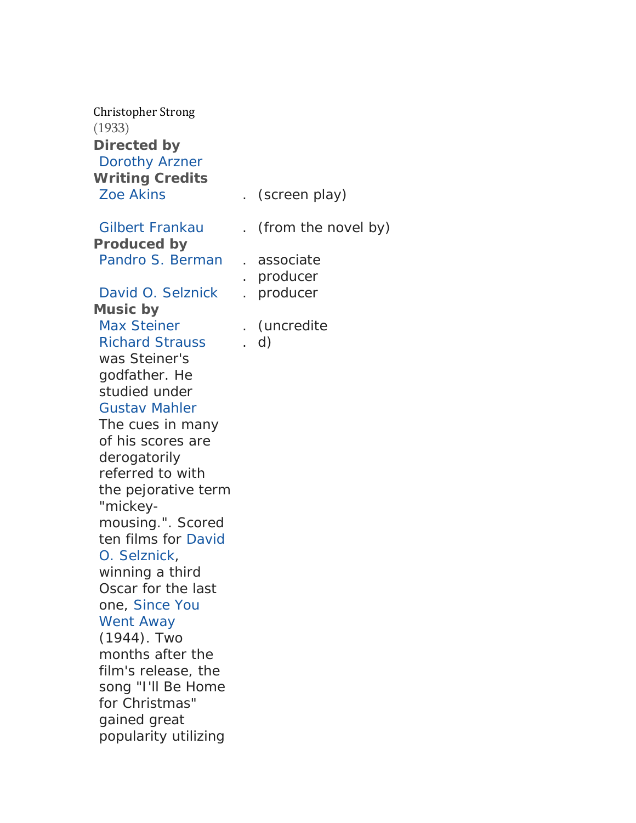| (screen play)         |
|-----------------------|
| (from the novel by)   |
| associate<br>producer |
| . producer            |
| (uncredite<br>d)      |
|                       |
|                       |